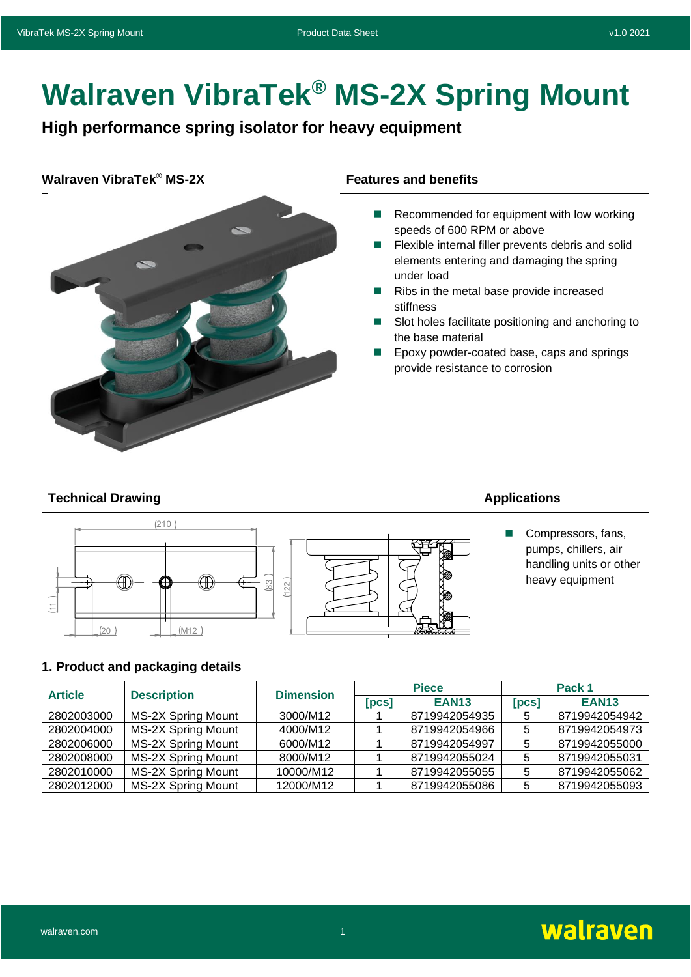# **Walraven VibraTek® MS-2X Spring Mount**

**High performance spring isolator for heavy equipment**

# **Walraven VibraTek<sup>®</sup> MS-2X Features and benefits**



- Recommended for equipment with low working speeds of 600 RPM or above
- Flexible internal filler prevents debris and solid elements entering and damaging the spring under load
- Ribs in the metal base provide increased stiffness
- Slot holes facilitate positioning and anchoring to the base material
- ◼ Epoxy powder-coated base, caps and springs provide resistance to corrosion

### **Technical Drawing Applications Applications**





■ Compressors, fans, pumps, chillers, air handling units or other heavy equipment

# **1. Product and packaging details**

| <b>Article</b> | <b>Description</b>        | <b>Dimension</b> | <b>Piece</b>                 |               | Pack 1 |               |
|----------------|---------------------------|------------------|------------------------------|---------------|--------|---------------|
|                |                           |                  | $\lceil \mathsf{pcs} \rceil$ | <b>EAN13</b>  | [PCS]  | <b>EAN13</b>  |
| 2802003000     | <b>MS-2X Spring Mount</b> | 3000/M12         |                              | 8719942054935 | 5      | 8719942054942 |
| 2802004000     | MS-2X Spring Mount        | 4000/M12         |                              | 8719942054966 | 5      | 8719942054973 |
| 2802006000     | MS-2X Spring Mount        | 6000/M12         |                              | 8719942054997 | 5      | 8719942055000 |
| 2802008000     | MS-2X Spring Mount        | 8000/M12         |                              | 8719942055024 | 5      | 8719942055031 |
| 2802010000     | MS-2X Spring Mount        | 10000/M12        |                              | 8719942055055 | 5      | 8719942055062 |
| 2802012000     | MS-2X Spring Mount        | 12000/M12        |                              | 8719942055086 | 5      | 8719942055093 |